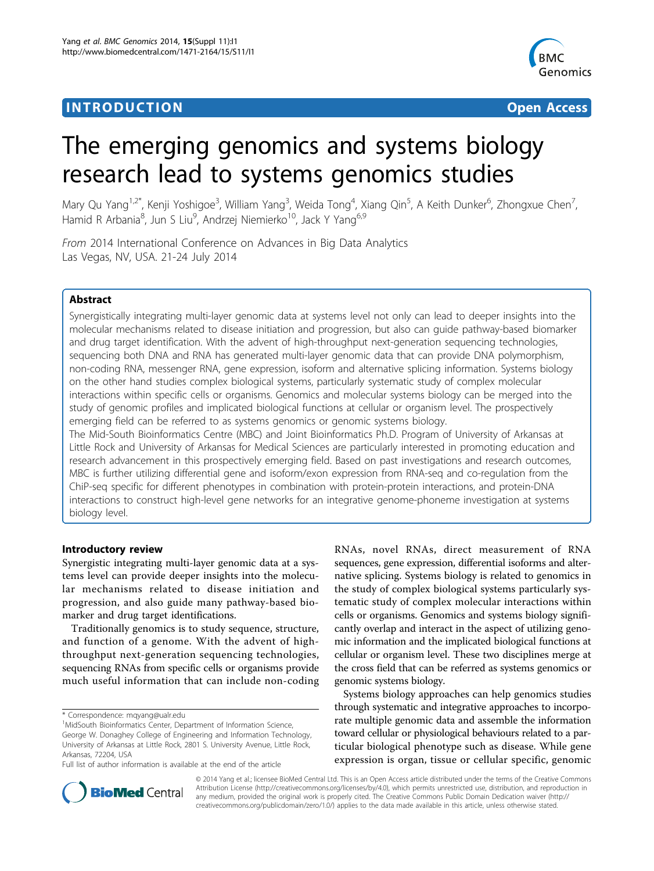## **INTRODUCTION CONSUMING THE CONSUMING TEAM Open Access**



# The emerging genomics and systems biology research lead to systems genomics studies

Mary Qu Yang<sup>1,2\*</sup>, Kenji Yoshigoe<sup>3</sup>, William Yang<sup>3</sup>, Weida Tong<sup>4</sup>, Xiang Qin<sup>5</sup>, A Keith Dunker<sup>6</sup>, Zhongxue Chen<sup>7</sup> , Hamid R Arbania<sup>8</sup>, Jun S Liu<sup>9</sup>, Andrzej Niemierko<sup>10</sup>, Jack Y Yang<sup>6,9</sup>

From 2014 International Conference on Advances in Big Data Analytics Las Vegas, NV, USA. 21-24 July 2014

## Abstract

Synergistically integrating multi-layer genomic data at systems level not only can lead to deeper insights into the molecular mechanisms related to disease initiation and progression, but also can guide pathway-based biomarker and drug target identification. With the advent of high-throughput next-generation sequencing technologies, sequencing both DNA and RNA has generated multi-layer genomic data that can provide DNA polymorphism, non-coding RNA, messenger RNA, gene expression, isoform and alternative splicing information. Systems biology on the other hand studies complex biological systems, particularly systematic study of complex molecular interactions within specific cells or organisms. Genomics and molecular systems biology can be merged into the study of genomic profiles and implicated biological functions at cellular or organism level. The prospectively emerging field can be referred to as systems genomics or genomic systems biology.

The Mid-South Bioinformatics Centre (MBC) and Joint Bioinformatics Ph.D. Program of University of Arkansas at Little Rock and University of Arkansas for Medical Sciences are particularly interested in promoting education and research advancement in this prospectively emerging field. Based on past investigations and research outcomes, MBC is further utilizing differential gene and isoform/exon expression from RNA-seq and co-regulation from the ChiP-seq specific for different phenotypes in combination with protein-protein interactions, and protein-DNA interactions to construct high-level gene networks for an integrative genome-phoneme investigation at systems biology level.

## Introductory review

Synergistic integrating multi-layer genomic data at a systems level can provide deeper insights into the molecular mechanisms related to disease initiation and progression, and also guide many pathway-based biomarker and drug target identifications.

Traditionally genomics is to study sequence, structure, and function of a genome. With the advent of highthroughput next-generation sequencing technologies, sequencing RNAs from specific cells or organisms provide much useful information that can include non-coding RNAs, novel RNAs, direct measurement of RNA sequences, gene expression, differential isoforms and alternative splicing. Systems biology is related to genomics in the study of complex biological systems particularly systematic study of complex molecular interactions within cells or organisms. Genomics and systems biology significantly overlap and interact in the aspect of utilizing genomic information and the implicated biological functions at cellular or organism level. These two disciplines merge at the cross field that can be referred as systems genomics or genomic systems biology.

Systems biology approaches can help genomics studies through systematic and integrative approaches to incorporate multiple genomic data and assemble the information toward cellular or physiological behaviours related to a particular biological phenotype such as disease. While gene expression is organ, tissue or cellular specific, genomic



© 2014 Yang et al.; licensee BioMed Central Ltd. This is an Open Access article distributed under the terms of the Creative Commons Attribution License [\(http://creativecommons.org/licenses/by/4.0](http://creativecommons.org/licenses/by/4.0)), which permits unrestricted use, distribution, and reproduction in any medium, provided the original work is properly cited. The Creative Commons Public Domain Dedication waiver [\(http://](http://creativecommons.org/publicdomain/zero/1.0/) [creativecommons.org/publicdomain/zero/1.0/](http://creativecommons.org/publicdomain/zero/1.0/)) applies to the data made available in this article, unless otherwise stated.

<sup>\*</sup> Correspondence: [mqyang@ualr.edu](mailto:mqyang@ualr.edu)

<sup>&</sup>lt;sup>1</sup>MidSouth Bioinformatics Center, Department of Information Science, George W. Donaghey College of Engineering and Information Technology, University of Arkansas at Little Rock, 2801 S. University Avenue, Little Rock, Arkansas, 72204, USA

Full list of author information is available at the end of the article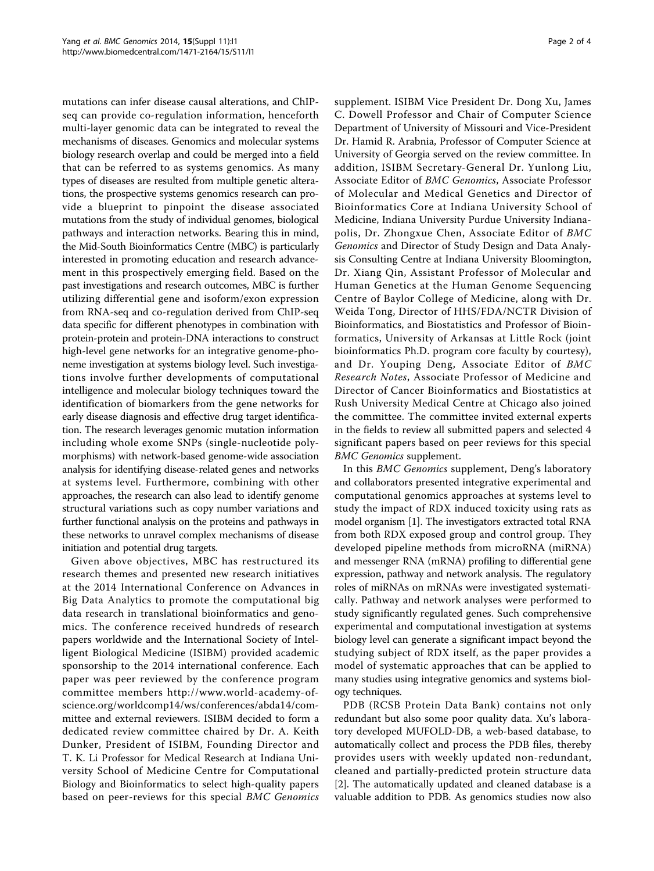mutations can infer disease causal alterations, and ChIPseq can provide co-regulation information, henceforth multi-layer genomic data can be integrated to reveal the mechanisms of diseases. Genomics and molecular systems biology research overlap and could be merged into a field that can be referred to as systems genomics. As many types of diseases are resulted from multiple genetic alterations, the prospective systems genomics research can provide a blueprint to pinpoint the disease associated mutations from the study of individual genomes, biological pathways and interaction networks. Bearing this in mind, the Mid-South Bioinformatics Centre (MBC) is particularly interested in promoting education and research advancement in this prospectively emerging field. Based on the past investigations and research outcomes, MBC is further utilizing differential gene and isoform/exon expression from RNA-seq and co-regulation derived from ChIP-seq data specific for different phenotypes in combination with protein-protein and protein-DNA interactions to construct high-level gene networks for an integrative genome-phoneme investigation at systems biology level. Such investigations involve further developments of computational intelligence and molecular biology techniques toward the identification of biomarkers from the gene networks for early disease diagnosis and effective drug target identification. The research leverages genomic mutation information including whole exome SNPs (single-nucleotide polymorphisms) with network-based genome-wide association analysis for identifying disease-related genes and networks at systems level. Furthermore, combining with other approaches, the research can also lead to identify genome structural variations such as copy number variations and further functional analysis on the proteins and pathways in these networks to unravel complex mechanisms of disease initiation and potential drug targets.

Given above objectives, MBC has restructured its research themes and presented new research initiatives at the 2014 International Conference on Advances in Big Data Analytics to promote the computational big data research in translational bioinformatics and genomics. The conference received hundreds of research papers worldwide and the International Society of Intelligent Biological Medicine (ISIBM) provided academic sponsorship to the 2014 international conference. Each paper was peer reviewed by the conference program committee members [http://www.world-academy-of](http://www.world-academy-of-science.org/worldcomp14/ws/conferences/abda14/committee)[science.org/worldcomp14/ws/conferences/abda14/com](http://www.world-academy-of-science.org/worldcomp14/ws/conferences/abda14/committee)[mittee](http://www.world-academy-of-science.org/worldcomp14/ws/conferences/abda14/committee) and external reviewers. ISIBM decided to form a dedicated review committee chaired by Dr. A. Keith Dunker, President of ISIBM, Founding Director and T. K. Li Professor for Medical Research at Indiana University School of Medicine Centre for Computational Biology and Bioinformatics to select high-quality papers based on peer-reviews for this special BMC Genomics supplement. ISIBM Vice President Dr. Dong Xu, James C. Dowell Professor and Chair of Computer Science Department of University of Missouri and Vice-President Dr. Hamid R. Arabnia, Professor of Computer Science at University of Georgia served on the review committee. In addition, ISIBM Secretary-General Dr. Yunlong Liu, Associate Editor of BMC Genomics, Associate Professor of Molecular and Medical Genetics and Director of Bioinformatics Core at Indiana University School of Medicine, Indiana University Purdue University Indianapolis, Dr. Zhongxue Chen, Associate Editor of BMC Genomics and Director of Study Design and Data Analysis Consulting Centre at Indiana University Bloomington, Dr. Xiang Qin, Assistant Professor of Molecular and Human Genetics at the Human Genome Sequencing Centre of Baylor College of Medicine, along with Dr. Weida Tong, Director of HHS/FDA/NCTR Division of Bioinformatics, and Biostatistics and Professor of Bioinformatics, University of Arkansas at Little Rock (joint bioinformatics Ph.D. program core faculty by courtesy), and Dr. Youping Deng, Associate Editor of BMC Research Notes, Associate Professor of Medicine and Director of Cancer Bioinformatics and Biostatistics at Rush University Medical Centre at Chicago also joined the committee. The committee invited external experts in the fields to review all submitted papers and selected 4 significant papers based on peer reviews for this special BMC Genomics supplement.

In this BMC Genomics supplement, Deng's laboratory and collaborators presented integrative experimental and computational genomics approaches at systems level to study the impact of RDX induced toxicity using rats as model organism [\[1\]](#page--1-0). The investigators extracted total RNA from both RDX exposed group and control group. They developed pipeline methods from microRNA (miRNA) and messenger RNA (mRNA) profiling to differential gene expression, pathway and network analysis. The regulatory roles of miRNAs on mRNAs were investigated systematically. Pathway and network analyses were performed to study significantly regulated genes. Such comprehensive experimental and computational investigation at systems biology level can generate a significant impact beyond the studying subject of RDX itself, as the paper provides a model of systematic approaches that can be applied to many studies using integrative genomics and systems biology techniques.

PDB (RCSB Protein Data Bank) contains not only redundant but also some poor quality data. Xu's laboratory developed MUFOLD-DB, a web-based database, to automatically collect and process the PDB files, thereby provides users with weekly updated non-redundant, cleaned and partially-predicted protein structure data [[2\]](#page--1-0). The automatically updated and cleaned database is a valuable addition to PDB. As genomics studies now also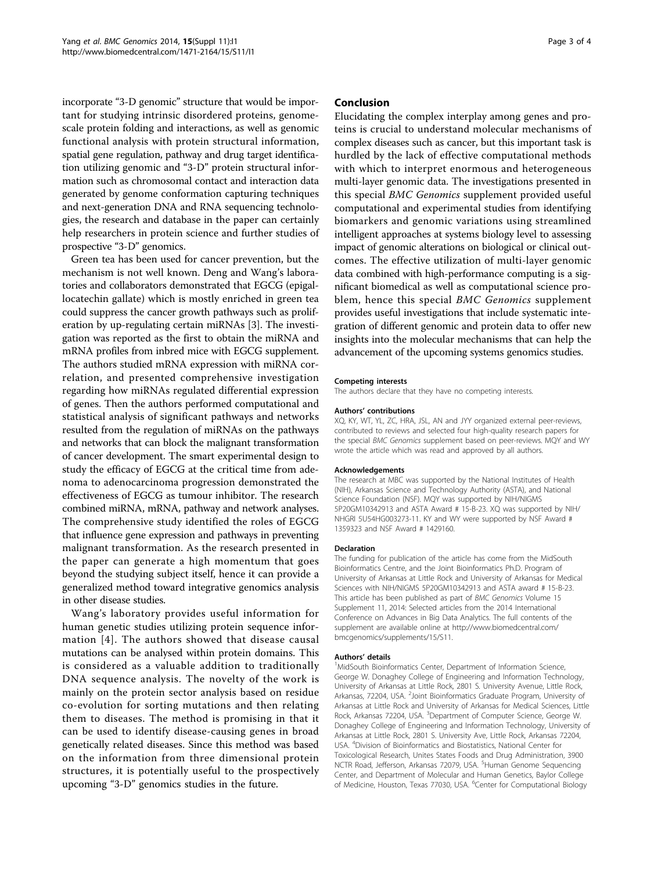incorporate "3-D genomic" structure that would be important for studying intrinsic disordered proteins, genomescale protein folding and interactions, as well as genomic functional analysis with protein structural information, spatial gene regulation, pathway and drug target identification utilizing genomic and "3-D" protein structural information such as chromosomal contact and interaction data generated by genome conformation capturing techniques and next-generation DNA and RNA sequencing technologies, the research and database in the paper can certainly help researchers in protein science and further studies of prospective "3-D" genomics.

Green tea has been used for cancer prevention, but the mechanism is not well known. Deng and Wang's laboratories and collaborators demonstrated that EGCG (epigallocatechin gallate) which is mostly enriched in green tea could suppress the cancer growth pathways such as proliferation by up-regulating certain miRNAs [[3\]](#page--1-0). The investigation was reported as the first to obtain the miRNA and mRNA profiles from inbred mice with EGCG supplement. The authors studied mRNA expression with miRNA correlation, and presented comprehensive investigation regarding how miRNAs regulated differential expression of genes. Then the authors performed computational and statistical analysis of significant pathways and networks resulted from the regulation of miRNAs on the pathways and networks that can block the malignant transformation of cancer development. The smart experimental design to study the efficacy of EGCG at the critical time from adenoma to adenocarcinoma progression demonstrated the effectiveness of EGCG as tumour inhibitor. The research combined miRNA, mRNA, pathway and network analyses. The comprehensive study identified the roles of EGCG that influence gene expression and pathways in preventing malignant transformation. As the research presented in the paper can generate a high momentum that goes beyond the studying subject itself, hence it can provide a generalized method toward integrative genomics analysis in other disease studies.

Wang's laboratory provides useful information for human genetic studies utilizing protein sequence information [\[4\]](#page--1-0). The authors showed that disease causal mutations can be analysed within protein domains. This is considered as a valuable addition to traditionally DNA sequence analysis. The novelty of the work is mainly on the protein sector analysis based on residue co-evolution for sorting mutations and then relating them to diseases. The method is promising in that it can be used to identify disease-causing genes in broad genetically related diseases. Since this method was based on the information from three dimensional protein structures, it is potentially useful to the prospectively upcoming "3-D" genomics studies in the future.

### Conclusion

Elucidating the complex interplay among genes and proteins is crucial to understand molecular mechanisms of complex diseases such as cancer, but this important task is hurdled by the lack of effective computational methods with which to interpret enormous and heterogeneous multi-layer genomic data. The investigations presented in this special BMC Genomics supplement provided useful computational and experimental studies from identifying biomarkers and genomic variations using streamlined intelligent approaches at systems biology level to assessing impact of genomic alterations on biological or clinical outcomes. The effective utilization of multi-layer genomic data combined with high-performance computing is a significant biomedical as well as computational science problem, hence this special BMC Genomics supplement provides useful investigations that include systematic integration of different genomic and protein data to offer new insights into the molecular mechanisms that can help the advancement of the upcoming systems genomics studies.

#### Competing interests

The authors declare that they have no competing interests.

#### Authors' contributions

XQ, KY, WT, YL, ZC, HRA, JSL, AN and JYY organized external peer-reviews, contributed to reviews and selected four high-quality research papers for the special BMC Genomics supplement based on peer-reviews. MQY and WY wrote the article which was read and approved by all authors.

#### Acknowledgements

The research at MBC was supported by the National Institutes of Health (NIH), Arkansas Science and Technology Authority (ASTA), and National Science Foundation (NSF). MQY was supported by NIH/NIGMS 5P20GM10342913 and ASTA Award # 15-B-23. XQ was supported by NIH/ NHGRI 5U54HG003273-11. KY and WY were supported by NSF Award # 1359323 and NSF Award # 1429160.

#### Declaration

The funding for publication of the article has come from the MidSouth Bioinformatics Centre, and the Joint Bioinformatics Ph.D. Program of University of Arkansas at Little Rock and University of Arkansas for Medical Sciences with NIH/NIGMS 5P20GM10342913 and ASTA award # 15-B-23. This article has been published as part of BMC Genomics Volume 15 Supplement 11, 2014: Selected articles from the 2014 International Conference on Advances in Big Data Analytics. The full contents of the supplement are available online at [http://www.biomedcentral.com/](http://www.biomedcentral.com/bmcgenomics/supplements/15/S11) [bmcgenomics/supplements/15/S11](http://www.biomedcentral.com/bmcgenomics/supplements/15/S11).

#### Authors' details <sup>1</sup>

<sup>1</sup>MidSouth Bioinformatics Center, Department of Information Science, George W. Donaghey College of Engineering and Information Technology, University of Arkansas at Little Rock, 2801 S. University Avenue, Little Rock, Arkansas, 72204, USA. <sup>2</sup> Joint Bioinformatics Graduate Program, University of Arkansas at Little Rock and University of Arkansas for Medical Sciences, Little Rock, Arkansas 72204, USA. <sup>3</sup>Department of Computer Science, George W. Donaghey College of Engineering and Information Technology, University of Arkansas at Little Rock, 2801 S. University Ave, Little Rock, Arkansas 72204, USA. <sup>4</sup> Division of Bioinformatics and Biostatistics, National Center for Toxicological Research, Unites States Foods and Drug Administration, 3900 NCTR Road, Jefferson, Arkansas 72079, USA. <sup>5</sup>Human Genome Sequencing Center, and Department of Molecular and Human Genetics, Baylor College of Medicine, Houston, Texas 77030, USA. <sup>6</sup>Center for Computational Biology